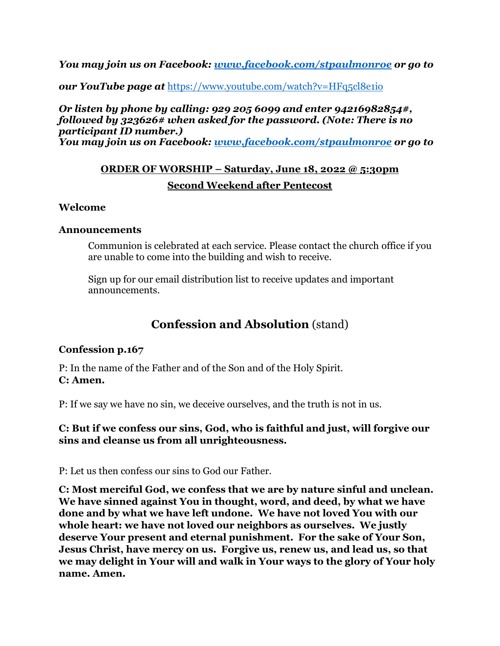*You may join us on Facebook: [www.facebook.com/stpaulmonroe](http://www.facebook.com/stpaulmonroe) or go to* 

*our YouTube page at <https://www.youtube.com/watch?v=HFq5cl8e1io>* 

# *Or listen by phone by calling: 929 205 6099 and enter 94216982854#, followed by 323626# when asked for the password. (Note: There is no participant ID number.)*

*You may join us on Facebook: [www.facebook.com/stpaulmonroe](http://www.facebook.com/stpaulmonroe) or go to* 

# **ORDER OF WORSHIP – Saturday, June 18, 2022 @ 5:30pm Second Weekend after Pentecost**

### **Welcome**

### **Announcements**

Communion is celebrated at each service. Please contact the church office if you are unable to come into the building and wish to receive.

Sign up for our email distribution list to receive updates and important announcements.

# **Confession and Absolution** (stand)

## **Confession p.167**

P: In the name of the Father and of the Son and of the Holy Spirit. **C: Amen.**

P: If we say we have no sin, we deceive ourselves, and the truth is not in us.

## **C: But if we confess our sins, God, who is faithful and just, will forgive our sins and cleanse us from all unrighteousness.**

P: Let us then confess our sins to God our Father.

**C: Most merciful God, we confess that we are by nature sinful and unclean. We have sinned against You in thought, word, and deed, by what we have done and by what we have left undone. We have not loved You with our whole heart: we have not loved our neighbors as ourselves. We justly deserve Your present and eternal punishment. For the sake of Your Son, Jesus Christ, have mercy on us. Forgive us, renew us, and lead us, so that we may delight in Your will and walk in Your ways to the glory of Your holy name. Amen.**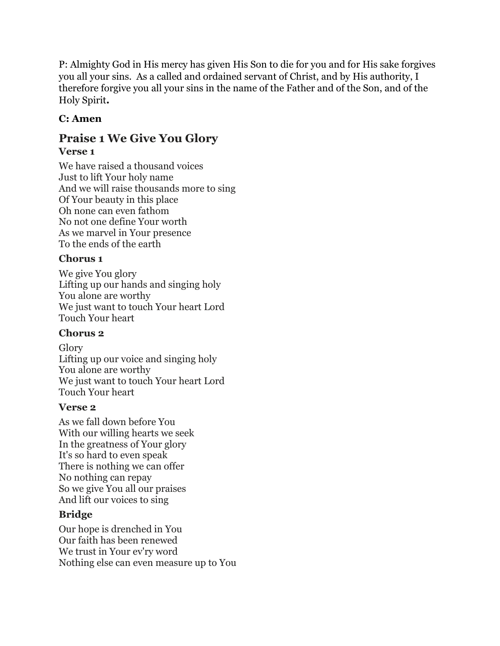P: Almighty God in His mercy has given His Son to die for you and for His sake forgives you all your sins. As a called and ordained servant of Christ, and by His authority, I therefore forgive you all your sins in the name of the Father and of the Son, and of the Holy Spirit**.**

# **C: Amen**

# **Praise 1 We Give You Glory Verse 1**

We have raised a thousand voices Just to lift Your holy name And we will raise thousands more to sing Of Your beauty in this place Oh none can even fathom No not one define Your worth As we marvel in Your presence To the ends of the earth

# **Chorus 1**

We give You glory Lifting up our hands and singing holy You alone are worthy We just want to touch Your heart Lord Touch Your heart

# **Chorus 2**

Glory Lifting up our voice and singing holy You alone are worthy We just want to touch Your heart Lord Touch Your heart

# **Verse 2**

As we fall down before You With our willing hearts we seek In the greatness of Your glory It's so hard to even speak There is nothing we can offer No nothing can repay So we give You all our praises And lift our voices to sing

# **Bridge**

Our hope is drenched in You Our faith has been renewed We trust in Your ev'ry word Nothing else can even measure up to You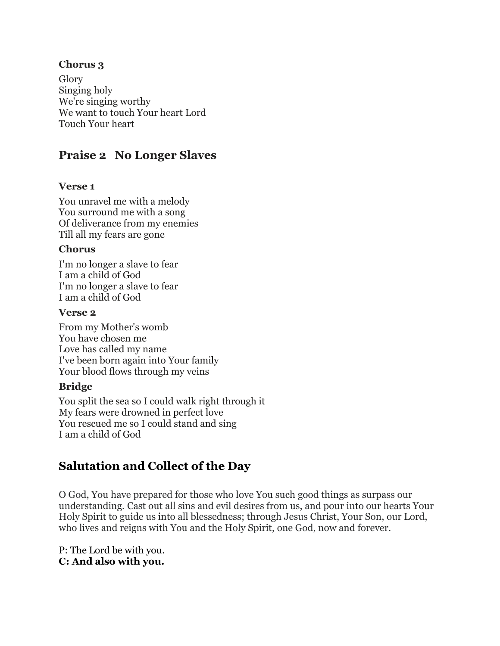## **Chorus 3**

Glory Singing holy We're singing worthy We want to touch Your heart Lord Touch Your heart

# **Praise 2 No Longer Slaves**

### **Verse 1**

You unravel me with a melody You surround me with a song Of deliverance from my enemies Till all my fears are gone

### **Chorus**

I'm no longer a slave to fear I am a child of God I'm no longer a slave to fear I am a child of God

#### **Verse 2**

From my Mother's womb You have chosen me Love has called my name I've been born again into Your family Your blood flows through my veins

## **Bridge**

You split the sea so I could walk right through it My fears were drowned in perfect love You rescued me so I could stand and sing I am a child of God

# **Salutation and Collect of the Day**

O God, You have prepared for those who love You such good things as surpass our understanding. Cast out all sins and evil desires from us, and pour into our hearts Your Holy Spirit to guide us into all blessedness; through Jesus Christ, Your Son, our Lord, who lives and reigns with You and the Holy Spirit, one God, now and forever.

P: The Lord be with you. **C: And also with you.**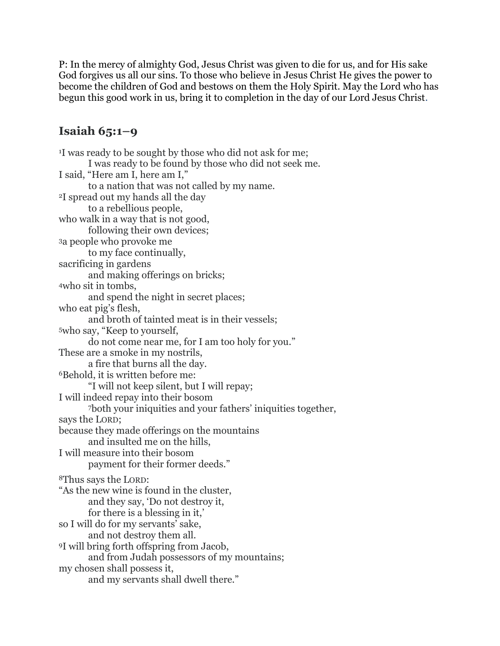P: In the mercy of almighty God, Jesus Christ was given to die for us, and for His sake God forgives us all our sins. To those who believe in Jesus Christ He gives the power to become the children of God and bestows on them the Holy Spirit. May the Lord who has begun this good work in us, bring it to completion in the day of our Lord Jesus Christ.

# **Isaiah 65:1–9**

<sup>1</sup>I was ready to be sought by those who did not ask for me; I was ready to be found by those who did not seek me. I said, "Here am I, here am I," to a nation that was not called by my name. <sup>2</sup>I spread out my hands all the day to a rebellious people, who walk in a way that is not good, following their own devices; <sup>3</sup>a people who provoke me to my face continually, sacrificing in gardens and making offerings on bricks; <sup>4</sup>who sit in tombs, and spend the night in secret places; who eat pig's flesh, and broth of tainted meat is in their vessels; <sup>5</sup>who say, "Keep to yourself, do not come near me, for I am too holy for you." These are a smoke in my nostrils, a fire that burns all the day. <sup>6</sup>Behold, it is written before me: "I will not keep silent, but I will repay; I will indeed repay into their bosom <sup>7</sup>both your iniquities and your fathers' iniquities together, says the LORD; because they made offerings on the mountains and insulted me on the hills, I will measure into their bosom payment for their former deeds." <sup>8</sup>Thus says the LORD: "As the new wine is found in the cluster, and they say, 'Do not destroy it, for there is a blessing in it,' so I will do for my servants' sake, and not destroy them all. <sup>9</sup>I will bring forth offspring from Jacob, and from Judah possessors of my mountains; my chosen shall possess it, and my servants shall dwell there."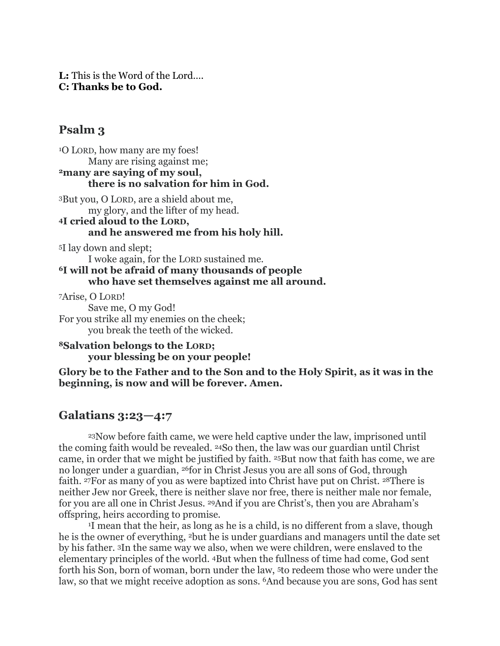**L:** This is the Word of the Lord…. **C: Thanks be to God.**

## **Psalm 3**

<sup>1</sup>O LORD, how many are my foes! Many are rising against me; **<sup>2</sup>many are saying of my soul, there is no salvation for him in God.**

<sup>3</sup>But you, O LORD, are a shield about me, my glory, and the lifter of my head.

### **<sup>4</sup>I cried aloud to the LORD, and he answered me from his holy hill.**

<sup>5</sup>I lay down and slept;

I woke again, for the LORD sustained me.

**<sup>6</sup>I will not be afraid of many thousands of people who have set themselves against me all around.**

<sup>7</sup>Arise, O LORD! Save me, O my God! For you strike all my enemies on the cheek; you break the teeth of the wicked.

#### **<sup>8</sup>Salvation belongs to the LORD; your blessing be on your people!**

**Glory be to the Father and to the Son and to the Holy Spirit, as it was in the beginning, is now and will be forever. Amen.**

# **Galatians 3:23—4:7**

<sup>23</sup>Now before faith came, we were held captive under the law, imprisoned until the coming faith would be revealed. <sup>24</sup>So then, the law was our guardian until Christ came, in order that we might be justified by faith. <sup>25</sup>But now that faith has come, we are no longer under a guardian, <sup>26</sup>for in Christ Jesus you are all sons of God, through faith. <sup>27</sup>For as many of you as were baptized into Christ have put on Christ. <sup>28</sup>There is neither Jew nor Greek, there is neither slave nor free, there is neither male nor female, for you are all one in Christ Jesus. <sup>29</sup>And if you are Christ's, then you are Abraham's offspring, heirs according to promise.

<sup>1</sup>I mean that the heir, as long as he is a child, is no different from a slave, though he is the owner of everything, <sup>2</sup>but he is under guardians and managers until the date set by his father. <sup>3</sup>In the same way we also, when we were children, were enslaved to the elementary principles of the world. <sup>4</sup>But when the fullness of time had come, God sent forth his Son, born of woman, born under the law, <sup>5</sup>to redeem those who were under the law, so that we might receive adoption as sons. <sup>6</sup>And because you are sons, God has sent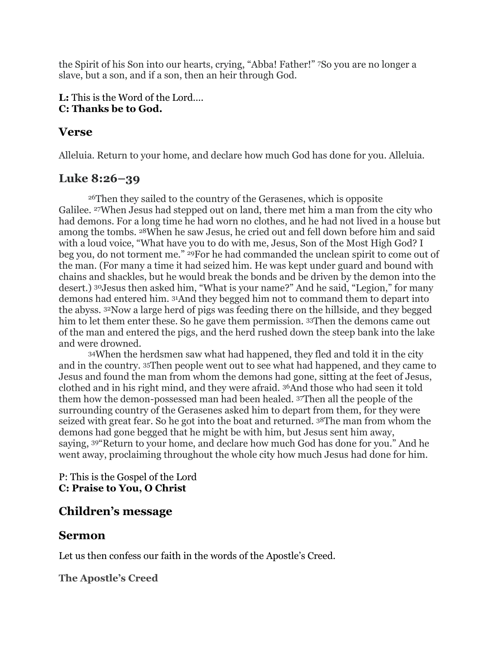the Spirit of his Son into our hearts, crying, "Abba! Father!" <sup>7</sup>So you are no longer a slave, but a son, and if a son, then an heir through God.

## **L:** This is the Word of the Lord…. **C: Thanks be to God.**

# **Verse**

Alleluia. Return to your home, and declare how much God has done for you. Alleluia.

# **Luke 8:26–39**

<sup>26</sup>Then they sailed to the country of the Gerasenes, which is opposite Galilee. <sup>27</sup>When Jesus had stepped out on land, there met him a man from the city who had demons. For a long time he had worn no clothes, and he had not lived in a house but among the tombs. <sup>28</sup>When he saw Jesus, he cried out and fell down before him and said with a loud voice, "What have you to do with me, Jesus, Son of the Most High God? I beg you, do not torment me." <sup>29</sup>For he had commanded the unclean spirit to come out of the man. (For many a time it had seized him. He was kept under guard and bound with chains and shackles, but he would break the bonds and be driven by the demon into the desert.) <sup>30</sup>Jesus then asked him, "What is your name?" And he said, "Legion," for many demons had entered him. <sup>31</sup>And they begged him not to command them to depart into the abyss. <sup>32</sup>Now a large herd of pigs was feeding there on the hillside, and they begged him to let them enter these. So he gave them permission. 33Then the demons came out of the man and entered the pigs, and the herd rushed down the steep bank into the lake and were drowned.

<sup>34</sup>When the herdsmen saw what had happened, they fled and told it in the city and in the country. <sup>35</sup>Then people went out to see what had happened, and they came to Jesus and found the man from whom the demons had gone, sitting at the feet of Jesus, clothed and in his right mind, and they were afraid. <sup>36</sup>And those who had seen it told them how the demon-possessed man had been healed. <sup>37</sup>Then all the people of the surrounding country of the Gerasenes asked him to depart from them, for they were seized with great fear. So he got into the boat and returned. <sup>38</sup>The man from whom the demons had gone begged that he might be with him, but Jesus sent him away, saying, <sup>39</sup>"Return to your home, and declare how much God has done for you." And he went away, proclaiming throughout the whole city how much Jesus had done for him.

## P: This is the Gospel of the Lord **C: Praise to You, O Christ**

# **Children's message**

# **Sermon**

Let us then confess our faith in the words of the Apostle's Creed.

**The Apostle's Creed**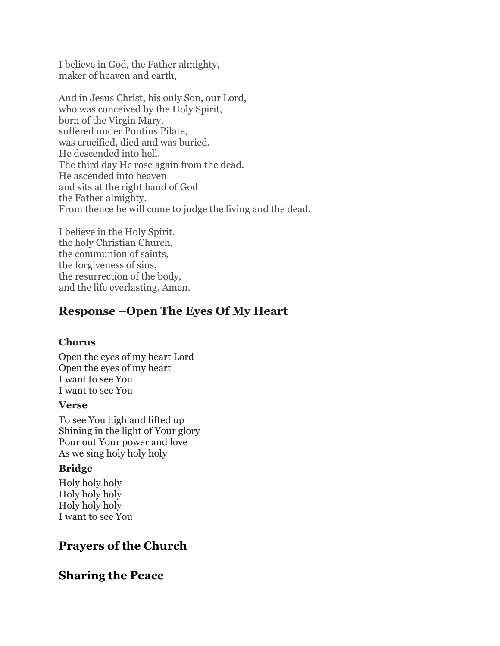I believe in God, the Father almighty, maker of heaven and earth,

And in Jesus Christ, his only Son, our Lord, who was conceived by the Holy Spirit, born of the Virgin Mary, suffered under Pontius Pilate, was crucified, died and was buried. He descended into hell. The third day He rose again from the dead. He ascended into heaven and sits at the right hand of God the Father almighty. From thence he will come to judge the living and the dead.

I believe in the Holy Spirit, the holy Christian Church, the communion of saints, the forgiveness of sins, the resurrection of the body, and the life everlasting. Amen.

# **Response –Open The Eyes Of My Heart**

#### **Chorus**

Open the eyes of my heart Lord Open the eyes of my heart I want to see You I want to see You

#### **Verse**

To see You high and lifted up Shining in the light of Your glory Pour out Your power and love As we sing holy holy holy

#### **Bridge**

Holy holy holy Holy holy holy Holy holy holy I want to see You

# **Prayers of the Church**

# **Sharing the Peace**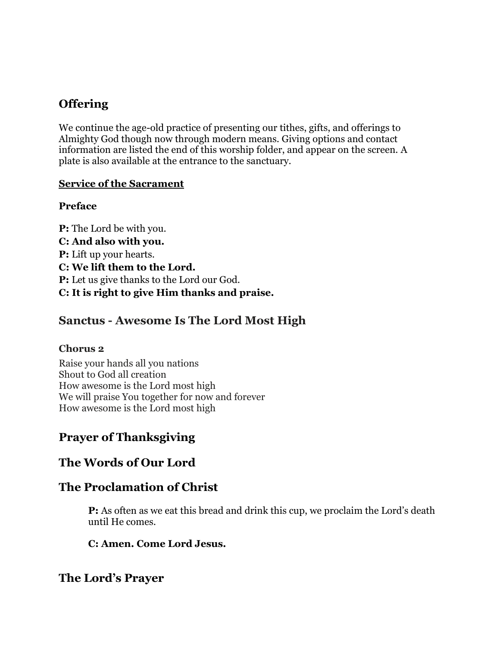# **Offering**

We continue the age-old practice of presenting our tithes, gifts, and offerings to Almighty God though now through modern means. Giving options and contact information are listed the end of this worship folder, and appear on the screen. A plate is also available at the entrance to the sanctuary.

## **Service of the Sacrament**

## **Preface**

**P:** The Lord be with you. **C: And also with you. P:** Lift up your hearts. **C: We lift them to the Lord. P:** Let us give thanks to the Lord our God. **C: It is right to give Him thanks and praise.** 

# **Sanctus - Awesome Is The Lord Most High**

# **Chorus 2**

Raise your hands all you nations Shout to God all creation How awesome is the Lord most high We will praise You together for now and forever How awesome is the Lord most high

# **Prayer of Thanksgiving**

# **The Words of Our Lord**

# **The Proclamation of Christ**

**P:** As often as we eat this bread and drink this cup, we proclaim the Lord's death until He comes.

# **C: Amen. Come Lord Jesus.**

# **The Lord's Prayer**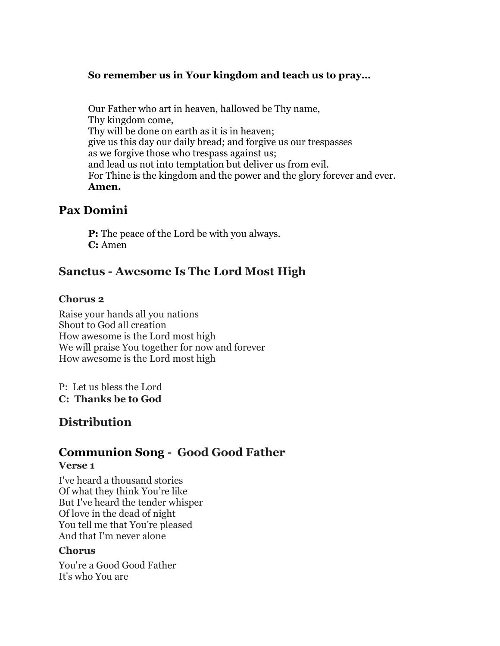## **So remember us in Your kingdom and teach us to pray…**

Our Father who art in heaven, hallowed be Thy name, Thy kingdom come, Thy will be done on earth as it is in heaven; give us this day our daily bread; and forgive us our trespasses as we forgive those who trespass against us; and lead us not into temptation but deliver us from evil. For Thine is the kingdom and the power and the glory forever and ever. **Amen.** 

# **Pax Domini**

**P:** The peace of the Lord be with you always. **C:** Amen

# **Sanctus - Awesome Is The Lord Most High**

### **Chorus 2**

Raise your hands all you nations Shout to God all creation How awesome is the Lord most high We will praise You together for now and forever How awesome is the Lord most high

P: Let us bless the Lord **C: Thanks be to God**

# **Distribution**

# **Communion Song - Good Good Father**

#### **Verse 1**

I've heard a thousand stories Of what they think You're like But I've heard the tender whisper Of love in the dead of night You tell me that You're pleased And that I'm never alone

#### **Chorus**

You're a Good Good Father It's who You are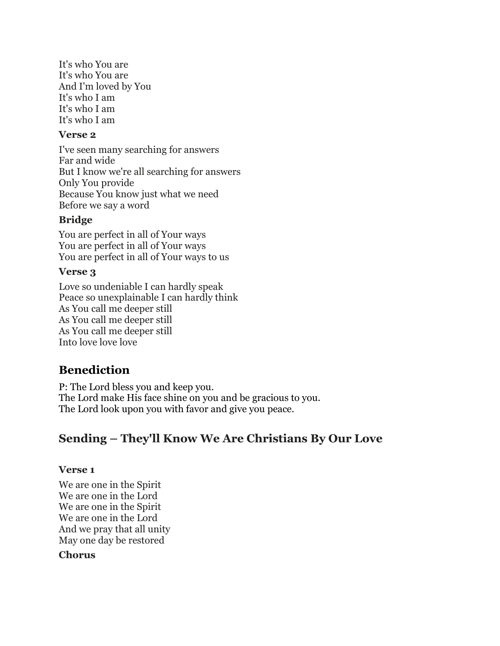It's who You are It's who You are And I'm loved by You It's who I am It's who I am It's who I am

### **Verse 2**

I've seen many searching for answers Far and wide But I know we're all searching for answers Only You provide Because You know just what we need Before we say a word

## **Bridge**

You are perfect in all of Your ways You are perfect in all of Your ways You are perfect in all of Your ways to us

## **Verse 3**

Love so undeniable I can hardly speak Peace so unexplainable I can hardly think As You call me deeper still As You call me deeper still As You call me deeper still Into love love love

# **Benediction**

P: The Lord bless you and keep you. The Lord make His face shine on you and be gracious to you. The Lord look upon you with favor and give you peace.

# **Sending – They'll Know We Are Christians By Our Love**

## **Verse 1**

We are one in the Spirit We are one in the Lord We are one in the Spirit We are one in the Lord And we pray that all unity May one day be restored

## **Chorus**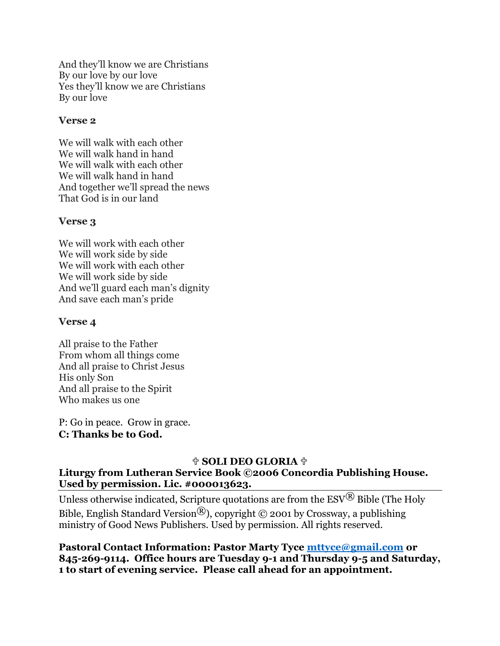And they'll know we are Christians By our love by our love Yes they'll know we are Christians By our love

### **Verse 2**

We will walk with each other We will walk hand in hand We will walk with each other We will walk hand in hand And together we'll spread the news That God is in our land

### **Verse 3**

We will work with each other We will work side by side We will work with each other We will work side by side And we'll guard each man's dignity And save each man's pride

### **Verse 4**

All praise to the Father From whom all things come And all praise to Christ Jesus His only Son And all praise to the Spirit Who makes us one

P: Go in peace. Grow in grace. **C: Thanks be to God.**

## <sup>†</sup> SOLI DEO GLORIA †

### **Liturgy from Lutheran Service Book ©2006 Concordia Publishing House. Used by permission. Lic. #000013623.**

Unless otherwise indicated, Scripture quotations are from the  $ESV^{\textcircled{B}}$  Bible (The Holy Bible, English Standard Version<sup>®</sup>), copyright © 2001 by Crossway, a publishing ministry of Good News Publishers. Used by permission. All rights reserved.

**Pastoral Contact Information: Pastor Marty Tyce [mttyce@gmail.com](mailto:mttyce@gmail.com) or 845-269-9114. Office hours are Tuesday 9-1 and Thursday 9-5 and Saturday, 1 to start of evening service. Please call ahead for an appointment.**